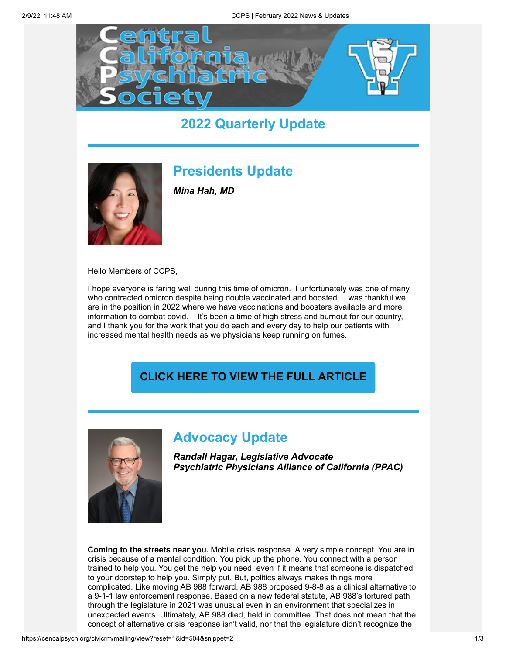

## **2022 Quarterly Update**



## **Presidents Update**

*Mina Hah, MD*

Hello Members of CCPS,

I hope everyone is faring well during this time of omicron. I unfortunately was one of many who contracted omicron despite being double vaccinated and boosted. I was thankful we are in the position in 2022 where we have vaccinations and boosters available and more information to combat covid. It's been a time of high stress and burnout for our country, and I thank you for the work that you do each and every day to help our patients with increased mental health needs as we physicians keep running on fumes.

#### **[CLICK HERE TO VIEW THE FULL ARTICLE](https://cencalpsych.org/content/january-2022-presidents-message-mina-hah-md)**



## **Advocacy Update**

*Randall Hagar, Legislative Advocate Psychiatric Physicians Alliance of California (PPAC)*

**Coming to the streets near you.** Mobile crisis response. A very simple concept. You are in crisis because of a mental condition. You pick up the phone. You connect with a person trained to help you. You get the help you need, even if it means that someone is dispatched to your doorstep to help you. Simply put. But, politics always makes things more complicated. Like moving AB 988 forward. AB 988 proposed 9-8-8 as a clinical alternative to a 9-1-1 law enforcement response. Based on a new federal statute, AB 988's tortured path through the legislature in 2021 was unusual even in an environment that specializes in unexpected events. Ultimately, AB 988 died, held in committee. That does not mean that the concept of alternative crisis response isn't valid, nor that the legislature didn't recognize the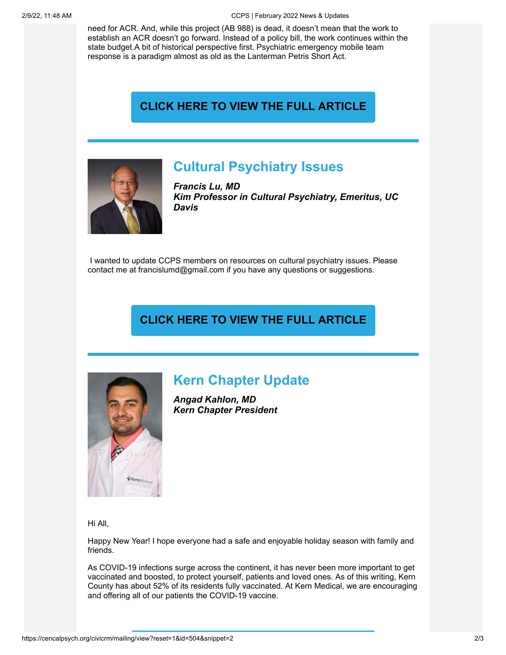need for ACR. And, while this project (AB 988) is dead, it doesn't mean that the work to establish an ACR doesn't go forward. Instead of a policy bill, the work continues within the state budget.A bit of historical perspective first. Psychiatric emergency mobile team response is a paradigm almost as old as the Lanterman Petris Short Act.

#### **[CLICK HERE TO VIEW THE FULL ARTICLE](https://cencalpsych.org/content/january-2022-advocacy-update-randall-hagar)**



### **Cultural Psychiatry Issues**

*Francis Lu, MD Kim Professor in Cultural Psychiatry, Emeritus, UC Davis*

I wanted to update CCPS members on resources on cultural psychiatry issues. Please contact me at francislumd@gmail.com if you have any questions or suggestions.

#### **[CLICK HERE TO VIEW THE FULL ARTICLE](https://cencalpsych.org/content/january-2022-cultural-psychiatry-issues-francis-lu-md-dlfapa)**



## **Kern Chapter Update**

*Angad Kahlon, MD Kern Chapter President*

Hi All,

Happy New Year! I hope everyone had a safe and enjoyable holiday season with family and friends.

As COVID-19 infections surge across the continent, it has never been more important to get vaccinated and boosted, to protect yourself, patients and loved ones. As of this writing, Kern County has about 52% of its residents fully vaccinated. At Kern Medical, we are encouraging and offering all of our patients the COVID-19 vaccine.